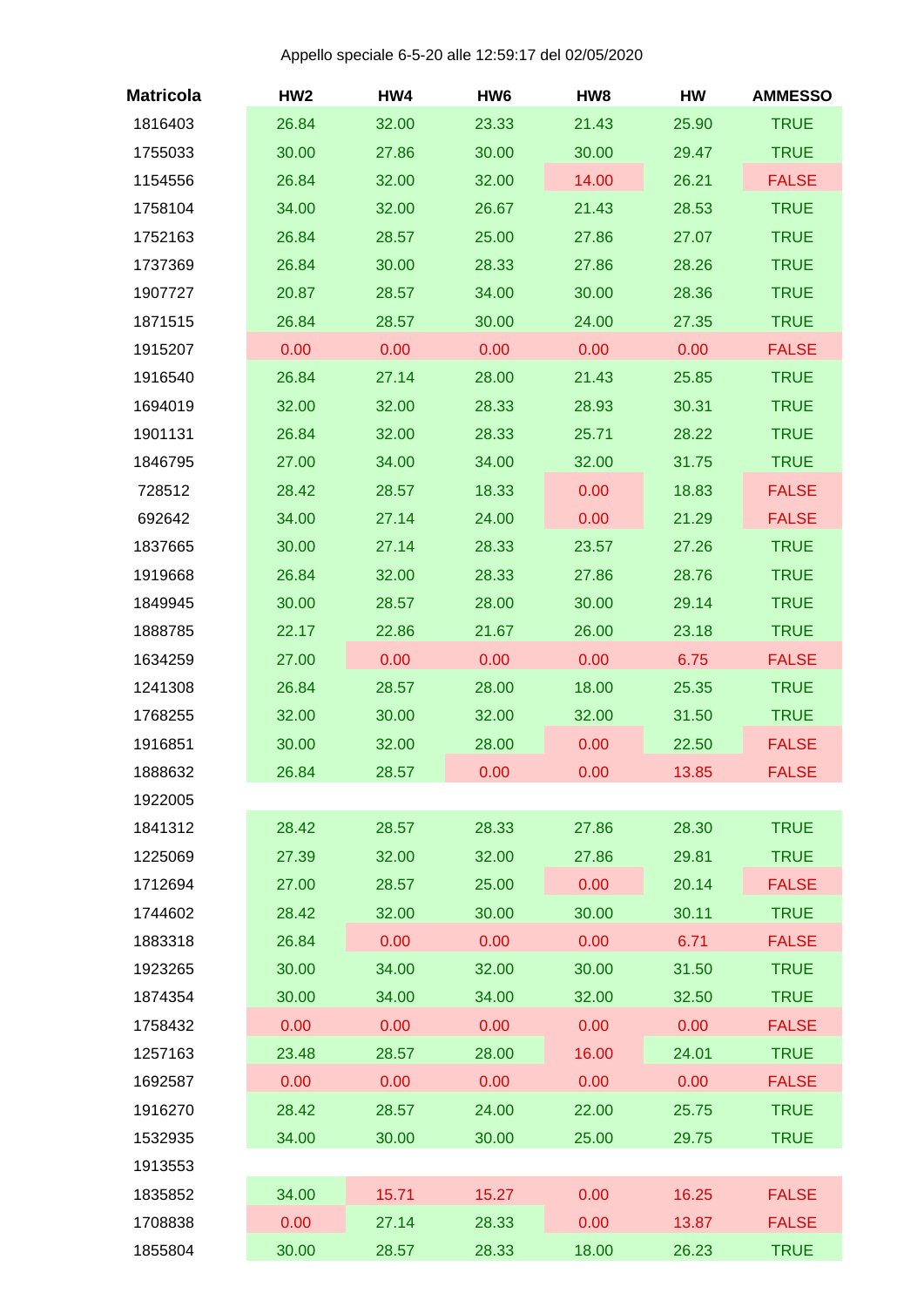Appello speciale 6-5-20 alle 12:59:17 del 02/05/2020

| <b>Matricola</b> | HW <sub>2</sub> | HW4   | HW <sub>6</sub> | HW8   | HW    | <b>AMMESSO</b> |
|------------------|-----------------|-------|-----------------|-------|-------|----------------|
| 1816403          | 26.84           | 32.00 | 23.33           | 21.43 | 25.90 | <b>TRUE</b>    |
| 1755033          | 30.00           | 27.86 | 30.00           | 30.00 | 29.47 | <b>TRUE</b>    |
| 1154556          | 26.84           | 32.00 | 32.00           | 14.00 | 26.21 | <b>FALSE</b>   |
| 1758104          | 34.00           | 32.00 | 26.67           | 21.43 | 28.53 | <b>TRUE</b>    |
| 1752163          | 26.84           | 28.57 | 25.00           | 27.86 | 27.07 | <b>TRUE</b>    |
| 1737369          | 26.84           | 30.00 | 28.33           | 27.86 | 28.26 | <b>TRUE</b>    |
| 1907727          | 20.87           | 28.57 | 34.00           | 30.00 | 28.36 | <b>TRUE</b>    |
| 1871515          | 26.84           | 28.57 | 30.00           | 24.00 | 27.35 | <b>TRUE</b>    |
| 1915207          | 0.00            | 0.00  | 0.00            | 0.00  | 0.00  | <b>FALSE</b>   |
| 1916540          | 26.84           | 27.14 | 28.00           | 21.43 | 25.85 | <b>TRUE</b>    |
| 1694019          | 32.00           | 32.00 | 28.33           | 28.93 | 30.31 | <b>TRUE</b>    |
| 1901131          | 26.84           | 32.00 | 28.33           | 25.71 | 28.22 | <b>TRUE</b>    |
| 1846795          | 27.00           | 34.00 | 34.00           | 32.00 | 31.75 | <b>TRUE</b>    |
| 728512           | 28.42           | 28.57 | 18.33           | 0.00  | 18.83 | <b>FALSE</b>   |
| 692642           | 34.00           | 27.14 | 24.00           | 0.00  | 21.29 | <b>FALSE</b>   |
| 1837665          | 30.00           | 27.14 | 28.33           | 23.57 | 27.26 | <b>TRUE</b>    |
| 1919668          | 26.84           | 32.00 | 28.33           | 27.86 | 28.76 | <b>TRUE</b>    |
| 1849945          | 30.00           | 28.57 | 28.00           | 30.00 | 29.14 | <b>TRUE</b>    |
| 1888785          | 22.17           | 22.86 | 21.67           | 26.00 | 23.18 | <b>TRUE</b>    |
| 1634259          | 27.00           | 0.00  | 0.00            | 0.00  | 6.75  | <b>FALSE</b>   |
| 1241308          | 26.84           | 28.57 | 28.00           | 18.00 | 25.35 | <b>TRUE</b>    |
| 1768255          | 32.00           | 30.00 | 32.00           | 32.00 | 31.50 | <b>TRUE</b>    |
| 1916851          | 30.00           | 32.00 | 28.00           | 0.00  | 22.50 | <b>FALSE</b>   |
| 1888632          | 26.84           | 28.57 | 0.00            | 0.00  | 13.85 | <b>FALSE</b>   |
| 1922005          |                 |       |                 |       |       |                |
| 1841312          | 28.42           | 28.57 | 28.33           | 27.86 | 28.30 | <b>TRUE</b>    |
| 1225069          | 27.39           | 32.00 | 32.00           | 27.86 | 29.81 | <b>TRUE</b>    |
| 1712694          | 27.00           | 28.57 | 25.00           | 0.00  | 20.14 | <b>FALSE</b>   |
| 1744602          | 28.42           | 32.00 | 30.00           | 30.00 | 30.11 | <b>TRUE</b>    |
| 1883318          | 26.84           | 0.00  | 0.00            | 0.00  | 6.71  | <b>FALSE</b>   |
| 1923265          | 30.00           | 34.00 | 32.00           | 30.00 | 31.50 | <b>TRUE</b>    |
| 1874354          | 30.00           | 34.00 | 34.00           | 32.00 | 32.50 | <b>TRUE</b>    |
| 1758432          | 0.00            | 0.00  | 0.00            | 0.00  | 0.00  | <b>FALSE</b>   |
| 1257163          | 23.48           | 28.57 | 28.00           | 16.00 | 24.01 | <b>TRUE</b>    |
| 1692587          | 0.00            | 0.00  | 0.00            | 0.00  | 0.00  | <b>FALSE</b>   |
| 1916270          | 28.42           | 28.57 | 24.00           | 22.00 | 25.75 | <b>TRUE</b>    |
| 1532935          | 34.00           | 30.00 | 30.00           | 25.00 | 29.75 | <b>TRUE</b>    |
| 1913553          |                 |       |                 |       |       |                |
| 1835852          | 34.00           | 15.71 | 15.27           | 0.00  | 16.25 | <b>FALSE</b>   |
| 1708838          | 0.00            | 27.14 | 28.33           | 0.00  | 13.87 | <b>FALSE</b>   |
| 1855804          | 30.00           | 28.57 | 28.33           | 18.00 | 26.23 | <b>TRUE</b>    |